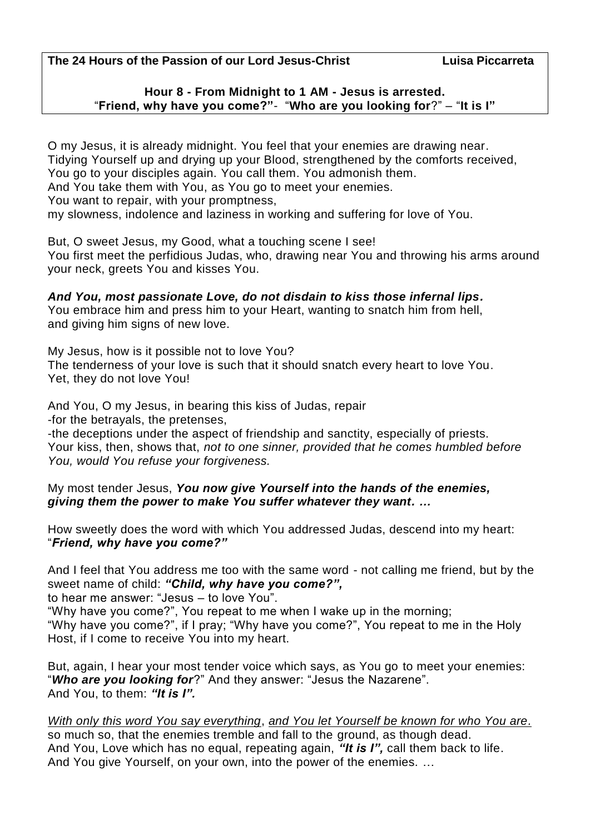**The 24 Hours of the Passion of our Lord Jesus-Christ Luisa Piccarreta**

## **Hour 8 - From Midnight to 1 AM - Jesus is arrested.** "**Friend, why have you come?"**- "**Who are you looking for**?" – "**It is I"**

O my Jesus, it is already midnight. You feel that your enemies are drawing near. Tidying Yourself up and drying up your Blood, strengthened by the comforts received, You go to your disciples again. You call them. You admonish them. And You take them with You, as You go to meet your enemies. You want to repair, with your promptness, my slowness, indolence and laziness in working and suffering for love of You.

But, O sweet Jesus, my Good, what a touching scene I see! You first meet the perfidious Judas, who, drawing near You and throwing his arms around your neck, greets You and kisses You.

*And You, most passionate Love, do not disdain to kiss those infernal lips.* You embrace him and press him to your Heart, wanting to snatch him from hell, and giving him signs of new love.

My Jesus, how is it possible not to love You?

The tenderness of your love is such that it should snatch every heart to love You. Yet, they do not love You!

And You, O my Jesus, in bearing this kiss of Judas, repair -for the betrayals, the pretenses,

-the deceptions under the aspect of friendship and sanctity, especially of priests. Your kiss, then, shows that, *not to one sinner, provided that he comes humbled before You, would You refuse your forgiveness.* 

My most tender Jesus, *You now give Yourself into the hands of the enemies, giving them the power to make You suffer whatever they want. …*

How sweetly does the word with which You addressed Judas, descend into my heart: "*Friend, why have you come?"*

And I feel that You address me too with the same word - not calling me friend, but by the sweet name of child: *"Child, why have you come?",*

to hear me answer: "Jesus – to love You".

"Why have you come?", You repeat to me when I wake up in the morning; "Why have you come?", if I pray; "Why have you come?", You repeat to me in the Holy Host, if I come to receive You into my heart.

But, again, I hear your most tender voice which says, as You go to meet your enemies: "*Who are you looking for*?" And they answer: "Jesus the Nazarene". And You, to them: *"It is I".*

## *With only this word You say everything*, *and You let Yourself be known for who You are.*

so much so, that the enemies tremble and fall to the ground, as though dead. And You, Love which has no equal, repeating again, *"It is I",* call them back to life. And You give Yourself, on your own, into the power of the enemies. …